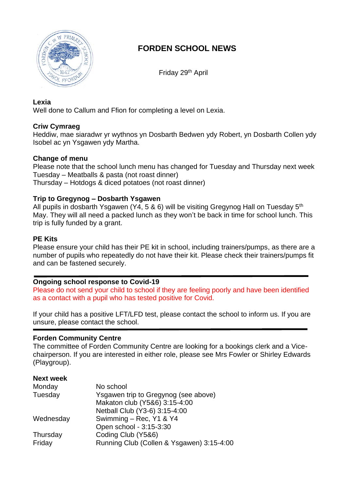

# **FORDEN SCHOOL NEWS**

Friday 29th April

### **Lexia**

Well done to Callum and Ffion for completing a level on Lexia.

### **Criw Cymraeg**

Heddiw, mae siaradwr yr wythnos yn Dosbarth Bedwen ydy Robert, yn Dosbarth Collen ydy Isobel ac yn Ysgawen ydy Martha.

### **Change of menu**

Please note that the school lunch menu has changed for Tuesday and Thursday next week Tuesday – Meatballs & pasta (not roast dinner) Thursday – Hotdogs & diced potatoes (not roast dinner)

### **Trip to Gregynog – Dosbarth Ysgawen**

All pupils in dosbarth Ysgawen (Y4, 5 & 6) will be visiting Gregynog Hall on Tuesday  $5<sup>th</sup>$ May. They will all need a packed lunch as they won't be back in time for school lunch. This trip is fully funded by a grant.

## **PE Kits**

Please ensure your child has their PE kit in school, including trainers/pumps, as there are a number of pupils who repeatedly do not have their kit. Please check their trainers/pumps fit and can be fastened securely.

### **Ongoing school response to Covid-19**

Please do not send your child to school if they are feeling poorly and have been identified as a contact with a pupil who has tested positive for Covid.

If your child has a positive LFT/LFD test, please contact the school to inform us. If you are unsure, please contact the school.

### **Forden Community Centre**

The committee of Forden Community Centre are looking for a bookings clerk and a Vicechairperson. If you are interested in either role, please see Mrs Fowler or Shirley Edwards (Playgroup).

#### **Next week** Monday No school Tuesday Ysgawen trip to Gregynog (see above) Makaton club (Y5&6) 3:15-4:00 Netball Club (Y3-6) 3:15-4:00 Wednesday Swimming – Rec, Y1 & Y4 Open school - 3:15-3:30 Thursday Coding Club (Y5&6) Friday Running Club (Collen & Ysgawen) 3:15-4:00